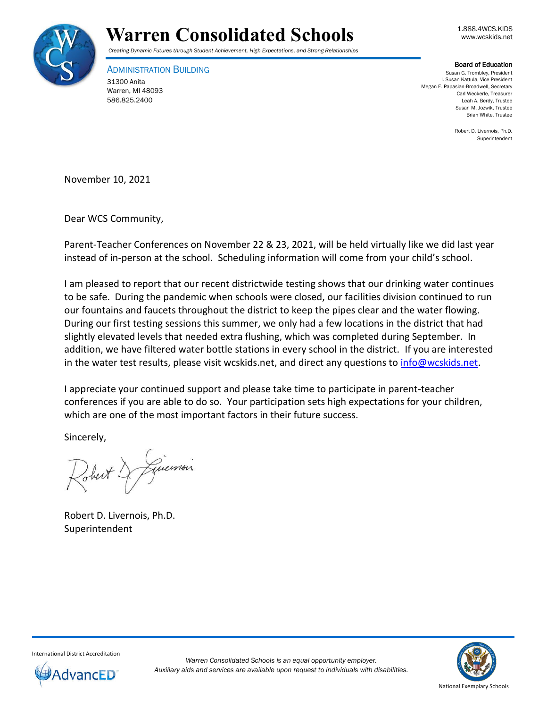



## *Creating Dynamic Futures through Student Achievement, High Expectations, and Strong Relationships*

ADMINISTRATION BUILDING 31300 Anita Warren, MI 48093

586.825.2400

## Board of Education

Susan G. Trombley, President I. Susan Kattula, Vice President Megan E. Papasian-Broadwell, Secretary Carl Weckerle, Treasurer Leah A. Berdy, Trustee Susan M. Jozwik, Trustee Brian White, Trustee

> Robert D. Livernois, Ph.D. Superintendent

November 10, 2021

Dear WCS Community,

Parent-Teacher Conferences on November 22 & 23, 2021, will be held virtually like we did last year instead of in-person at the school. Scheduling information will come from your child's school.

I am pleased to report that our recent districtwide testing shows that our drinking water continues to be safe. During the pandemic when schools were closed, our facilities division continued to run our fountains and faucets throughout the district to keep the pipes clear and the water flowing. During our first testing sessions this summer, we only had a few locations in the district that had slightly elevated levels that needed extra flushing, which was completed during September. In addition, we have filtered water bottle stations in every school in the district. If you are interested in the water test results, please visit wcskids.net, and direct any questions to [info@wcskids.net.](mailto:info@wcskids.net)

I appreciate your continued support and please take time to participate in parent-teacher conferences if you are able to do so. Your participation sets high expectations for your children, which are one of the most important factors in their future success.

Sincerely,

Just & Linemain

Robert D. Livernois, Ph.D. Superintendent